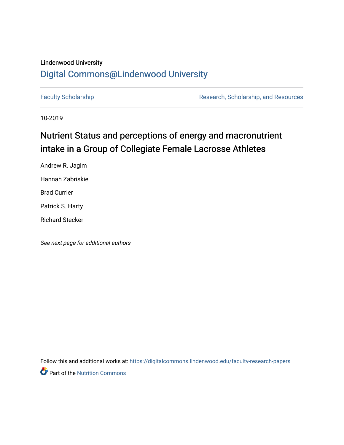## Lindenwood University

## [Digital Commons@Lindenwood University](https://digitalcommons.lindenwood.edu/)

[Faculty Scholarship](https://digitalcommons.lindenwood.edu/faculty-research-papers) **Research, Scholarship, and Resources** Research, Scholarship, and Resources

10-2019

## Nutrient Status and perceptions of energy and macronutrient intake in a Group of Collegiate Female Lacrosse Athletes

Andrew R. Jagim Hannah Zabriskie Brad Currier Patrick S. Harty Richard Stecker

See next page for additional authors

Follow this and additional works at: [https://digitalcommons.lindenwood.edu/faculty-research-papers](https://digitalcommons.lindenwood.edu/faculty-research-papers?utm_source=digitalcommons.lindenwood.edu%2Ffaculty-research-papers%2F63&utm_medium=PDF&utm_campaign=PDFCoverPages)

**Part of the [Nutrition Commons](http://network.bepress.com/hgg/discipline/95?utm_source=digitalcommons.lindenwood.edu%2Ffaculty-research-papers%2F63&utm_medium=PDF&utm_campaign=PDFCoverPages)**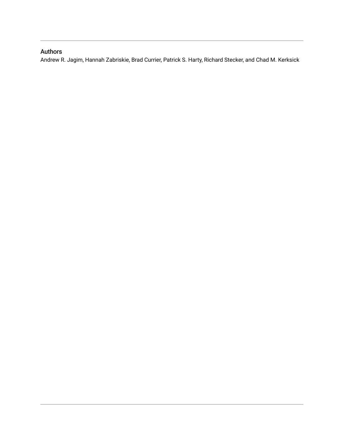### Authors

Andrew R. Jagim, Hannah Zabriskie, Brad Currier, Patrick S. Harty, Richard Stecker, and Chad M. Kerksick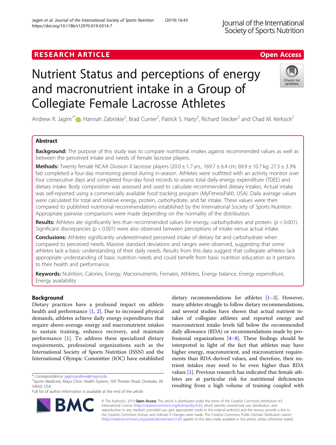## **RESEARCH ARTICLE Example 2018 12:30 The Contract of Contract ACCESS**

# Nutrient Status and perceptions of energy and macronutrient intake in a Group of Collegiate Female Lacrosse Athletes

Andrew R. Jagim<sup>1[\\*](http://orcid.org/0000-0002-6651-5096)</sup>®, Hannah Zabriskie<sup>2</sup>, Brad Currier<sup>2</sup>, Patrick S. Harty<sup>2</sup>, Richard Stecker<sup>2</sup> and Chad M. Kerksick<sup>2</sup>

### Abstract

**Background:** The purpose of this study was to compare nutritional intakes against recommended values as well as between the perceived intake and needs of female lacrosse players.

Methods: Twenty female NCAA Division II lacrosse players  $(20.0 \pm 1.7 \text{ yrs.}, 169.7 \pm 6.4 \text{ cm}; 69.9 \pm 10.7 \text{ kg}; 27.5 \pm 3.3\%$ fat) completed a four-day monitoring period during in-season. Athletes were outfitted with an activity monitor over four consecutive days and completed four-day food records to assess total daily energy expenditure (TDEE) and dietary intake. Body composition was assessed and used to calculate recommended dietary intakes. Actual intake was self-reported using a commercially available food tracking program (MyFitnessPal©, USA). Daily average values were calculated for total and relative energy, protein, carbohydrate, and fat intake. These values were then compared to published nutritional recommendations established by the International Society of Sports Nutrition. Appropriate pairwise comparisons were made depending on the normality of the distribution.

Results: Athletes ate significantly less than recommended values for energy, carbohydrates and protein. ( $p < 0.001$ ). Significant discrepancies ( $p < 0.001$ ) were also observed between perceptions of intake versus actual intake.

**Conclusions:** Athletes significantly underestimated perceived intake of dietary fat and carbohydrate when compared to perceived needs. Massive standard deviations and ranges were observed, suggesting that some athletes lack a basic understanding of their daily needs. Results from this data suggest that collegiate athletes lack appropriate understanding of basic nutrition needs and could benefit from basic nutrition education as it pertains to their health and performance.

Keywords: Nutrition, Calories, Energy, Macronutrients, Females, Athletes, Energy balance, Energy expenditure, Energy availability

#### Background

Dietary practices have a profound impact on athlete health and performance  $[1, 2]$  $[1, 2]$  $[1, 2]$  $[1, 2]$ . Due to increased physical demands, athletes achieve daily energy expenditures that require above-average energy and macronutrient intakes to sustain training, enhance recovery, and maintain performance [[1\]](#page-8-0). To address these specialized dietary requirements, professional organizations such as the International Society of Sports Nutrition (ISSN) and the International Olympic Committee (IOC) have established

\* Correspondence: [jagim.andrew@mayo.edu](mailto:jagim.andrew@mayo.edu) <sup>1</sup>

R,

Full list of author information is available at the end of the article

© The Author(s). 2019 Open Access This article is distributed under the terms of the Creative Commons Attribution 4.0 International License [\(http://creativecommons.org/licenses/by/4.0/](http://creativecommons.org/licenses/by/4.0/)), which permits unrestricted use, distribution, and reproduction in any medium, provided you give appropriate credit to the original author(s) and the source, provide a link to the Creative Commons license, and indicate if changes were made. The Creative Commons Public Domain Dedication waiver [\(http://creativecommons.org/publicdomain/zero/1.0/](http://creativecommons.org/publicdomain/zero/1.0/)) applies to the data made available in this article, unless otherwise stated.









<sup>&</sup>lt;sup>1</sup>Sports Medicine, Mayo Clinic Health System, 109 Theater Road, Onalaska, WI 54650, USA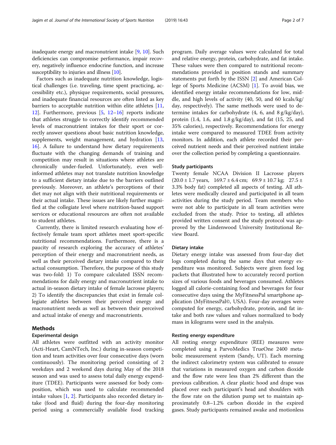inadequate energy and macronutrient intake [[9,](#page-8-0) [10](#page-8-0)]. Such deficiencies can compromise performance, impair recovery, negatively influence endocrine function, and increase susceptibility to injuries and illness [\[10](#page-8-0)].

Factors such as inadequate nutrition knowledge, logistical challenges (i.e. traveling, time spent practicing, accessibility etc.), physique requirements, social pressures, and inadequate financial resources are often listed as key barriers to acceptable nutrition within elite athletes [[11](#page-8-0), [12\]](#page-8-0). Furthermore, previous [[5,](#page-8-0) [12](#page-8-0)–[16](#page-8-0)] reports indicate that athletes struggle to correctly identify recommended levels of macronutrient intakes for their sport or correctly answer questions about basic nutrition knowledge, supplements, weight management, and hydration [[13](#page-8-0), [16\]](#page-8-0). A failure to understand how dietary requirements fluctuate with the changing demands of training and competition may result in situations where athletes are chronically under-fueled. Unfortunately, even wellinformed athletes may not translate nutrition knowledge to a sufficient dietary intake due to the barriers outlined previously. Moreover, an athlete's perceptions of their diet may not align with their nutritional requirements or their actual intake. These issues are likely further magnified at the collegiate level where nutrition-based support services or educational resources are often not available to student athletes.

Currently, there is limited research evaluating how effectively female team sport athletes meet sport-specific nutritional recommendations. Furthermore, there is a paucity of research exploring the accuracy of athletes' perception of their energy and macronutrient needs, as well as their perceived dietary intake compared to their actual consumption. Therefore, the purpose of this study was two-fold: 1) To compare calculated ISSN recommendations for daily energy and macronutrient intake to actual in-season dietary intake of female lacrosse players; 2) To identify the discrepancies that exist in female collegiate athletes between their perceived energy and macronutrient needs as well as between their perceived and actual intake of energy and macronutrients.

#### Methods

#### Experimental design

All athletes were outfitted with an activity monitor (Acti-Heart, CamNTech, Inc.) during in-season competition and team activities over four consecutive days (worn continuously). The monitoring period consisting of 2 weekdays and 2 weekend days during May of the 2018 season and was used to assess total daily energy expenditure (TDEE). Participants were assessed for body composition, which was used to calculate recommended intake values [[1,](#page-8-0) [2\]](#page-8-0). Participants also recorded dietary intake (food and fluid) during the four-day monitoring period using a commercially available food tracking program. Daily average values were calculated for total and relative energy, protein, carbohydrate, and fat intake. These values were then compared to nutritional recommendations provided in position stands and summary statements put forth by the ISSN [[2\]](#page-8-0) and American College of Sports Medicine (ACSM) [[1\]](#page-8-0). To avoid bias, we identified energy intake recommendations for low, middle, and high levels of activity (40, 50, and 60 kcals/kg/ day, respectively). The same methods were used to determine intakes for carbohydrate (4, 6, and 8 g/kg/day), protein (1.4, 1.6, and 1.8 g/kg/day), and fat (15, 25, and 35% calories), respectively. Recommendations for energy intake were compared to measured TDEE from activity monitors. In addition, each athlete recorded their perceived nutrient needs and their perceived nutrient intake over the collection period by completing a questionnaire.

#### Study participants

Twenty female NCAA Division II Lacrosse players  $(20.0 \pm 1.7 \text{ years}, \quad 169.7 \pm 6.4 \text{ cm}; \quad 69.9 \pm 10.7 \text{ kg}; \quad 27.5 \pm 10.7 \text{ kg}$ 3.3% body fat) completed all aspects of testing. All athletes were medically cleared and participated in all team activities during the study period. Team members who were not able to participate in all team activities were excluded from the study. Prior to testing, all athletes provided written consent and the study protocol was approved by the Lindenwood University Institutional Review Board.

#### Dietary intake

Dietary energy intake was assessed from four-day diet logs completed during the same days that energy expenditure was monitored. Subjects were given food log packets that illustrated how to accurately record portion sizes of various foods and beverages consumed. Athletes logged all calorie-containing food and beverages for four consecutive days using the MyFitnessPal smartphone application (MyFitnessPal©, USA). Four-day averages were computed for energy, carbohydrate, protein, and fat intake and both raw values and values normalized to body mass in kilograms were used in the analysis.

#### Resting energy expenditure

All resting energy expenditure (REE) measures were completed using a ParvoMedics TrueOne 2400 metabolic measurement system (Sandy, UT). Each morning the indirect calorimetry system was calibrated to ensure that variations in measured oxygen and carbon dioxide and the flow rate were less than 2% different than the previous calibration. A clear plastic hood and drape was placed over each participant's head and shoulders with the flow rate on the dilution pump set to maintain approximately 0.8–1.2% carbon dioxide in the expired gases. Study participants remained awake and motionless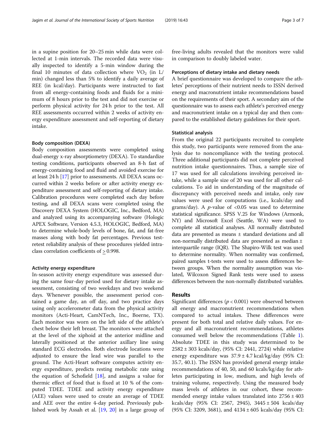in a supine position for 20–25 min while data were collected at 1-min intervals. The recorded data were visually inspected to identify a 5-min window during the final 10 minutes of data collection where  $VO<sub>2</sub>$  (in L/ min) changed less than 5% to identify a daily average of REE (in kcal/day). Participants were instructed to fast from all energy-containing foods and fluids for a minimum of 8 hours prior to the test and did not exercise or perform physical activity for 24 h prior to the test. All REE assessments occurred within 2 weeks of activity energy expenditure assessment and self-reporting of dietary intake.

#### Body composition (DEXA)

Body composition assessments were completed using dual-energy x-ray absorptiometry (DEXA). To standardize testing conditions, participants observed an 8-h fast of energy-containing food and fluid and avoided exercise for at least 24 h [[17](#page-8-0)] prior to assessments. All DEXA scans occurred within 2 weeks before or after activity energy expenditure assessment and self-reporting of dietary intake. Calibration procedures were completed each day before testing, and all DEXA scans were completed using the Discovery DEXA System (HOLOGIC, Inc., Bedford, MA) and analyzed using its accompanying software (Hologic APEX Software, Version 4.5.3, HOLOGIC, Bedford, MA) to determine whole-body levels of bone, fat, and fat-free masses along with body fat percentages. Previous testretest reliability analysis of these procedures yielded intraclass correlation coefficients of > 0.998.

#### Activity energy expenditure

In-season activity energy expenditure was assessed during the same four-day period used for dietary intake assessment, consisting of two weekdays and two weekend days. Whenever possible, the assessment period contained a game day, an off day, and two practice days using only accelerometer data from the physical activity monitors (Acti-Heart, CamNTech, Inc., Boerne, TX). Each monitor was worn on the left side of the athlete's chest below their left breast. The monitors were attached at the level of the xiphoid at the anterior midline and laterally positioned at the anterior axillary line using standard ECG electrodes. Both electrode locations were adjusted to ensure the lead wire was parallel to the ground. The Acti-Heart software computes activity energy expenditure, predicts resting metabolic rate using the equation of Schofield  $[18]$  $[18]$ , and assigns a value for thermic effect of food that is fixed at 10 % of the computed TDEE. TDEE and activity energy expenditure (AEE) values were used to create an average of TDEE and AEE over the entire 4-day period. Previously published work by Assah et al. [\[19,](#page-8-0) [20\]](#page-8-0) in a large group of free-living adults revealed that the monitors were valid in comparison to doubly labeled water.

#### Perceptions of dietary intake and dietary needs

A brief questionnaire was developed to compare the athletes' perceptions of their nutrient needs to ISSN derived energy and macronutrient intake recommendations based on the requirements of their sport. A secondary aim of the questionnaire was to assess each athlete's perceived energy and macronutrient intake on a typical day and then compared to the established dietary guidelines for their sport.

#### Statistical analysis

From the original 22 participants recruited to complete this study, two participants were removed from the analysis due to noncompliance with the testing protocol. Three additional participants did not complete perceived nutrition intake questionnaires. Thus, a sample size of 17 was used for all calculations involving perceived intake, while a sample size of 20 was used for all other calculations. To aid in understanding of the magnitude of discrepancy with perceived needs and intake, only raw values were used for computations (i.e., kcals/day and grams/day). A *p*-value of  $< 0.05$  was used to determine statistical significance. SPSS V.25 for Windows (Armonk, NY) and Microsoft Excel (Seattle, WA) were used to complete all statistical analyses. All normally distributed data are presented as means ± standard deviations and all non-normally distributed data are presented as median ± interquartile range (IQR). The Shapiro-Wilk test was used to determine normality. When normality was confirmed, paired samples t-tests were used to assess differences between groups. When the normality assumption was violated, Wilcoxon Signed Rank tests were used to assess differences between the non-normally distributed variables.

#### Results

Significant differences ( $p < 0.001$ ) were observed between all energy and macronutrient recommendations when compared to actual intakes. These differences were present for both total and relative daily values. For energy and all macronutrient recommendations, athletes consumed well below the recommendations (Table [1](#page-5-0)). Absolute TDEE in this study was determined to be 2582 ± 303 kcals/day, (95% CI: 2441, 2724) while relative energy expenditure was  $37.9 \pm 4.7$  kcal/kg/day (95% CI: 35.7, 40.1). The ISSN has provided general energy intake recommendations of 40, 50, and 60 kcals/kg/day for athletes participating in low, medium, and high levels of training volume, respectively. Using the measured body mass levels of athletes in our cohort, these recommended energy intake values translated into  $2756 \pm 403$ kcals/day (95% CI: 2567, 2945), 3445 ± 504 kcals/day (95% CI: 3209, 3681), and 4134 ± 605 kcals/day (95% CI: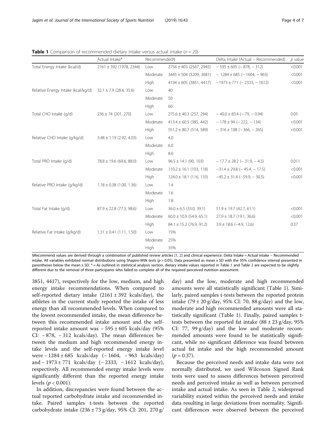<span id="page-5-0"></span>**Table 1** Comparison of recommended dietary intake versus actual intake ( $n = 20$ )

|                                    | Actual Intake*               | Recommended§ |                              | Delta Intake (Actual - Recommended)<br>$p$ value |         |  |
|------------------------------------|------------------------------|--------------|------------------------------|--------------------------------------------------|---------|--|
| Total Energy Intake (kcal/d)       | 2161 ± 392 (1978, 2344)      | Low          | $2756 \pm 403$ (2567, 2945)  | $-595 \pm 605 (-878, -312)$                      | < 0.001 |  |
|                                    |                              | Moderate     | $3445 \pm 504$ (3209, 3681)  | $-1284 \pm 685 (-1604, -963)$                    | < 0.001 |  |
|                                    |                              | High         | $4134 \pm 605$ (3851, 4417)  | $-1973 \pm 771$ (-2333, -1612)                   | < 0.001 |  |
| Relative Energy Intake (kcal/kg/d) | $32.1 \pm 7.9$ (28.4, 35.6)  | Low          | 40                           |                                                  |         |  |
|                                    |                              | Moderate     | 50                           |                                                  |         |  |
|                                    |                              | High         | 60                           |                                                  |         |  |
| Total CHO Intake (q/d)             | $236 \pm 74$ (201, 270)      | Low          | $275.6 \pm 40.3$ (257, 294)  | $-40.0 \pm 83.4 (-79, -0.94)$                    | 0.05    |  |
|                                    |                              | Moderate     | $413.4 \pm 60.5$ (385, 442)  | $-178 \pm 94 (-222, -134)$                       | < 0.001 |  |
|                                    |                              | High         | $551.2 \pm 80.7$ (514, 589)  | $-316 \pm 108 (-366, -265)$                      | < 0.001 |  |
| Relative CHO Intake (q/kq/d)       | $3.48 \pm 1.19$ (2.92, 4.03) | Low          | 4.0                          |                                                  |         |  |
|                                    |                              | Moderate     | 6.0                          |                                                  |         |  |
|                                    |                              | High         | 8.0                          |                                                  |         |  |
| Total PRO Intake (q/d)             | $78.8 \pm 19.6$ (69.6, 88.0) | Low          | $96.5 \pm 14.1$ (90, 103)    | $-17.7 \pm 28.2$ (-31.9, -4.5)                   | 0.011   |  |
|                                    |                              | Moderate     | $110.2 \pm 16.1$ (103, 118)  | $-31.4 \pm 29.8$ ( $-45.4$ , $-17.5$ )           | < 0.001 |  |
|                                    |                              | High         | $124.0 \pm 18.1$ (116, 133)  | $-45.2 \pm 31.4 (-59.9 - 30.5)$                  | < 0.001 |  |
| Relative PRO Intake (g/kg/d)       | $1.18 \pm 0.38$ (1.00, 1.36) | Low          | 1.4                          |                                                  |         |  |
|                                    |                              | Moderate     | 1.6                          |                                                  |         |  |
|                                    |                              | High         | 1.8                          |                                                  |         |  |
| Total Fat Intake (g/d)             | $87.9 \pm 22.8$ (77.3, 98.6) | Low          | $36.0 \pm 6.5$ (33.0, 39.1)  | $51.9 \pm 19.7$ (42.7, 61.1)                     | < 0.001 |  |
|                                    |                              | Moderate     | $60.0 \pm 10.9$ (54.9, 65.1) | $27.9 \pm 18.7$ (19.1, 36.6)                     | < 0.001 |  |
|                                    |                              | High         | $84.1 \pm 15.2$ (76.9, 91.2) | $3.9 \pm 18.6$ (-4.9, 12.6)                      | 0.37    |  |
| Relative Fat Intake (g/kg/d)       | $1.31 \pm 0.41$ (1.11, 1.50) | Low          | 15%                          |                                                  |         |  |
|                                    |                              | Moderate     | 25%                          |                                                  |         |  |
|                                    |                              | High         | 35%                          |                                                  |         |  |

§Recommend values are derived through a combination of published review articles [\[1,](#page-8-0) [2\]](#page-8-0) and clinical experience. Delta Intake = Actual intake – Recommended intake. All variables exhibited normal distributions using Shapiro-Wilk tests  $(p > 0.05)$ . Data presented as mean  $\pm$  SD with the 95% confidence interval presented in parentheses below the mean  $\pm$  SD.  $*$  = As outlined in statistical analysis section, dietary intake values reported in Table 1 and Table [2](#page-6-0) are expected to be slightly different due to the removal of three participants who failed to complete all of the required perceived nutrition assessment

3851, 4417), respectively for the low, medium, and high energy intake recommendations. When compared to self-reported dietary intake  $(2161 \pm 392 \text{ kcals/day})$ , the athletes in the current study reported the intake of less energy than all recommended levels. When compared to the lowest recommended intake, the mean difference between this recommended intake amount and the selfreported intake amount was − 595 ± 605 kcals/day (95% CI: − 878, − 312 kcals/day). The mean differences between the medium and high recommended energy intake levels and the self-reported energy intake level were − 1284 ± 685 kcals/day (− 1604, − 963 kcals/day) and − 1973 ± 771 kcals/day (− 2333, − 1612 kcals/day), respectively. All recommended energy intake levels were significantly different than the reported energy intake levels ( $p < 0.001$ ).

In addition, discrepancies were found between the actual reported carbohydrate intake and recommended intake. Paired samples t-tests between the reported carbohydrate intake (236 ± 73 g/day, 95% CI: 201, 270 g/

day) and the low, moderate and high recommended amounts were all statistically significant (Table 1). Similarly, paired samples t-tests between the reported protein intake  $(79 \pm 20 \text{ g/day}, 95\% \text{ CI: } 70, 88 \text{ g/day})$  and the low, moderate and high recommended amounts were all statistically significant (Table 1). Finally, paired samples ttests between the reported fat intake  $(88 \pm 23 \text{ g/day}, 95\%$ CI: 77, 99 g/day) and the low and moderate recommended amounts were found to be statistically significant, while no significant difference was found between actual fat intake and the high recommended amount  $(p = 0.37)$ .

Because the perceived needs and intake data were not normally distributed, we used Wilcoxon Signed Rank tests were used to assess differences between perceived needs and perceived intake as well as between perceived intake and actual intake. As seen in Table [2](#page-6-0), widespread variability existed within the perceived needs and intake data resulting in large deviations from normality. Significant differences were observed between the perceived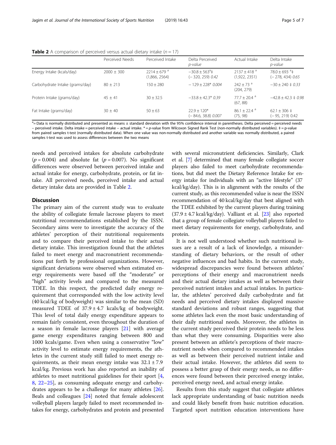|                                 | Perceived Needs | Perceived Intake                           | Delta Perceived<br>p-value                    | Actual Intake                              | Delta Intake<br>p-value                           |
|---------------------------------|-----------------|--------------------------------------------|-----------------------------------------------|--------------------------------------------|---------------------------------------------------|
| Energy Intake (kcals/day)       | $2000 \pm 300$  | $2214 + 679$ <sup>a</sup><br>(1,866, 2564) | $-30.8 + 563^{\circ}$ ±<br>$(-320, 259)$ 0.42 | $2137 + 418$ <sup>a</sup><br>(1,922, 2351) | $78.0 + 693$ <sup>a</sup> ±<br>$(-278, 434)$ 0.65 |
| Carbohydrate Intake (grams/day) | $80 + 213$      | $150 + 280$                                | $-129 + 228*0.004$                            | $242 + 73$ <sup>a</sup><br>(204, 279)      | $-30 \pm 240 \pm 0.33$                            |
| Protein Intake (grams/day)      | $45 + 41$       | $30 + 32.5$                                | $-33.8 + 42.3* 0.39$                          | $77.7 + 20.4$ <sup>a</sup><br>(67, 88)     | $-42.8 \pm 42.3 \pm 0.98$                         |
| Fat Intake (grams/day)          | $30 + 40$       | $50 + 63$                                  | $22.9 + 120*$<br>$(-84.6, 38.8)$ 0.007        | $86.1 + 22.4$ <sup>a</sup><br>(75, 98)     | $62.1 \pm 306 \pm 1$<br>$(-95, 219)$ 0.42         |

<span id="page-6-0"></span>**Table 2** A comparison of perceived versus actual dietary intake ( $n = 17$ )

<sup>a</sup> Data is normally distributed and presented as means ± standard deviation with the 95% confidence interval in parentheses. Delta perceived = perceived needs – perceived intake. Delta intake = perceived intake – actual intake.  $* = p$ -value from Wilcoxon Signed Rank Test (non-normally distributed variables).  $\ddagger = p$ -value from paired samples t-test (normally distributed data). When one value was non-normally distributed and another variable was normally distributed, a paired samples t-test was used to assess differences between the two means

needs and perceived intakes for absolute carbohydrate  $(p = 0.004)$  and absolute fat  $(p = 0.007)$ . No significant differences were observed between perceived intake and actual intake for energy, carbohydrate, protein, or fat intake. All perceived needs, perceived intake and actual dietary intake data are provided in Table 2.

#### **Discussion**

The primary aim of the current study was to evaluate the ability of collegiate female lacrosse players to meet nutritional recommendations established by the ISSN. Secondary aims were to investigate the accuracy of the athletes' perception of their nutritional requirements and to compare their perceived intake to their actual dietary intake. This investigation found that the athletes failed to meet energy and macronutrient recommendations put forth by professional organizations. However, significant deviations were observed when estimated energy requirements were based off the "moderate" or "high" activity levels and compared to the measured TDEE. In this respect, the predicted daily energy requirement that corresponded with the low activity level (40 kcal/kg of bodyweight) was similar to the mean (SD) measured TDEE of  $37.9 \pm 4.7$  kcals/kg of bodyweight. This level of total daily energy expenditure appears to remain fairly consistent, even throughout the duration of a season in female lacrosse players [\[21](#page-8-0)] with average game energy expenditures ranging between 800 and 1000 kcals/game. Even when using a conservative "low" activity level to estimate energy requirements, the athletes in the current study still failed to meet energy requirements, as their mean energy intake was  $32.1 \pm 7.9$ kcal/kg. Previous work has also reported an inability of athletes to meet nutritional guidelines for their sport [\[4](#page-8-0), [8,](#page-8-0) [22](#page-8-0)–[25](#page-8-0)], as consuming adequate energy and carbohydrates appears to be a challenge for many athletes [\[26](#page-8-0)]. Beals and colleagues [[24\]](#page-8-0) noted that female adolescent volleyball players largely failed to meet recommended intakes for energy, carbohydrates and protein and presented with several micronutrient deficiencies. Similarly, Clark et al. [[7](#page-8-0)] determined that many female collegiate soccer players also failed to meet carbohydrate recommendations, but did meet the Dietary Reference Intake for energy intake for individuals with an "active lifestyle" (37 kcal/kg/day). This is in alignment with the results of the current study, as this recommended value is near the ISSN recommendation of 40 kcal/kg/day that best aligned with the TDEE exhibited by the current players during training  $(37.9 \pm 4.7 \text{ kcal/kg/day})$ . Valliant et al.  $[23]$  also reported that a group of female collegiate volleyball players failed to meet dietary requirements for energy, carbohydrate, and protein.

It is not well understood whether such nutritional issues are a result of a lack of knowledge, a misunderstanding of dietary behaviors, or the result of other negative influences and bad habits. In the current study, widespread discrepancies were found between athletes' perceptions of their energy and macronutrient needs and their actual dietary intakes as well as between their perceived nutrient intakes and actual intakes. In particular, the athletes' perceived daily carbohydrate and fat needs and perceived dietary intakes displayed massive standard deviations and robust ranges, suggesting that some athletes lack even the most basic understanding of their daily nutritional needs. Moreover, the athletes in the current study perceived their protein needs to be less than what they were consuming. Disparities were also present between an athlete's perceptions of their macronutrient needs when compared to recommended intakes as well as between their perceived nutrient intake and their actual intake. However, the athletes did seem to possess a better grasp of their energy needs, as no differences were found between their perceived energy intake, perceived energy need, and actual energy intake.

Results from this study suggest that collegiate athletes lack appropriate understanding of basic nutrition needs and could likely benefit from basic nutrition education. Targeted sport nutrition education interventions have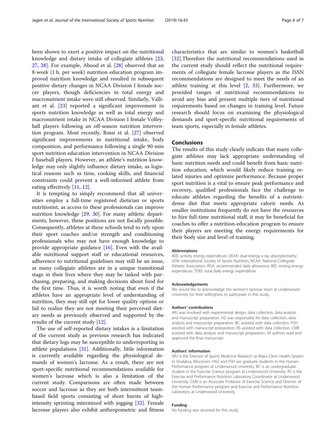been shown to exert a positive impact on the nutritional knowledge and dietary intake of collegiate athletes [[23](#page-8-0), [27,](#page-8-0) [28\]](#page-8-0). For example, Abood et al. [\[28\]](#page-8-0) observed that an 8-week (1 h. per week) nutrition education program improved nutrition knowledge and resulted in subsequent positive dietary changes in NCAA Division I female soccer players, though deficiencies in total energy and macronutrient intake were still observed. Similarly, Valliant et al. [\[23\]](#page-8-0) reported a significant improvement in sports nutrition knowledge as well as total energy and macronutrient intake in NCAA Division I female Volleyball players following an off-season nutrition intervention program. Most recently, Rossi et al. [\[27\]](#page-8-0) observed significant improvements in nutritional intake, body composition, and performance following a single 90-min sport nutrition education intervention in NCAA Division I baseball players. However, an athlete's nutrition knowledge may only slightly influence dietary intake, as logistical reasons such as time, cooking skills, and financial constraints could prevent a well-informed athlete from eating effectively [[11,](#page-8-0) [12\]](#page-8-0).

It is tempting to simply recommend that all universities employ a full-time registered dietician or sports nutritionist, as access to these professionals can improve nutrition knowledge [[29,](#page-8-0) [30](#page-8-0)]. For many athletic departments, however, these positions are not fiscally possible. Consequently, athletes at these schools tend to rely upon their sport coaches and/or strength and conditioning professionals who may not have enough knowledge to provide appropriate guidance [\[16](#page-8-0)]. Even with the available nutritional support staff or educational resources, adherence to nutritional guidelines may still be an issue, as many collegiate athletes are in a unique transitional stage in their lives where they may be tasked with purchasing, preparing, and making decisions about food for the first time. Thus, it is worth noting that even if the athletes have an appropriate level of understanding of nutrition, they may still opt for lower quality options or fail to realize they are not meeting their perceived dietary needs as previously observed and supported by the results of the current study [\[12\]](#page-8-0).

The use of self-reported dietary intakes is a limitation of the current study as previous research has indicated that dietary logs may be susceptible to underreporting in athlete populations [[31](#page-8-0)]. Additionally, little information is currently available regarding the physiological demands of women's lacrosse. As a result, there are not sport-specific nutritional recommendations available for women's lacrosse which is also a limitation of the current study. Comparisons are often made between soccer and lacrosse as they are both intermittent teambased field sports consisting of short bursts of highintensity sprinting intermixed with jogging [\[32](#page-8-0)]. Female lacrosse players also exhibit anthropometric and fitness characteristics that are similar to women's basketball [[32\]](#page-8-0).Therefore the nutritional recommendations used in the current study should reflect the nutritional requirements of collegiate female lacrosse players as the ISSN recommendations are designed to meet the needs of an athlete training at this level  $[2, 33]$  $[2, 33]$  $[2, 33]$  $[2, 33]$  $[2, 33]$ . Furthermore, we provided ranges of nutritional recommendations to avoid any bias and present multiple tiers of nutritional requirements based on changes in training level. Future research should focus on examining the physiological demands and sport-specific nutritional requirements of team sports, especially in female athletes.

#### Conclusions

The results of this study clearly indicate that many collegiate athletes may lack appropriate understanding of basic nutrition needs and could benefit from basic nutrition education, which would likely reduce training related injuries and optimize performance. Because proper sport nutrition is a vital to ensure peak performance and recovery, qualified professionals face the challenge to educate athletes regarding the benefits of a nutrientdense diet that meets appropriate caloric needs. As smaller institutions frequently do not have the resources to hire full-time nutritional staff, it may be beneficial for coaches to offer a nutrition-education program to ensure their players are meeting the energy requirements for their body size and level of training.

#### Abbreviations

AEE: activity energy expenditure; DEXA: dual-energy x-ray absorptiometry; ISSN: International Society of Sports Nutrition; NCAA: National Collegiate Athletic Association; RDA: recommended daily allowance; REE: resting energy expenditure; TDEE: total daily energy expenditure

#### Acknowledgements

We would like to acknowledge the women's lacrosse team at Lindenwood University for their willingness to participate in this study.

#### Authors' contributions

ARJ was involved with experimental design, data collection, data analysis and manuscript preparation. HZ was responsible for data collection, data analysis and manuscript preparation. BC assisted with data collection. PSH assisted with manuscript preparation. RS assisted with data collection. CMK assisted with data analysis and manuscript preparation. All authors read and approved the final manuscript.

#### Authors' information

ARJ is the Director of Sports Medicine Research at Mayo Clinic Health System in Onalaksa, Wisconsin. HAZ and PSH are graduate students in the Human Performance program at Lindenwood University. BC is an undergraduate student in the Exercise Science program at Lindenwood University. RS is the Exercise and Performance Nutrition Laboratory Coordinator at Lindenwood University. CMK is an Associate Professor of Exercise Science and Director of the Human Performance program and Exercise and Performance Nutrition Laboratory at Lindenwood University.

#### Funding

No funding was received for this study.